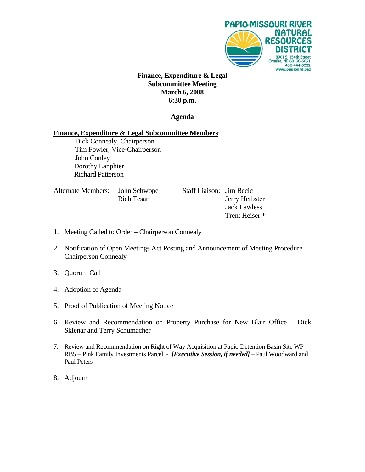

## **Finance, Expenditure & Legal Subcommittee Meeting March 6, 2008 6:30 p.m.**

## **Agenda**

## **Finance, Expenditure & Legal Subcommittee Members**:

 Dick Connealy, Chairperson Tim Fowler, Vice-Chairperson John Conley Dorothy Lanphier Richard Patterson

| Alternate Members: John Schwope | <b>Rich Tesar</b> |  |
|---------------------------------|-------------------|--|
|                                 |                   |  |

Staff Liaison: Jim Becic Jerry Herbster Jack Lawless Trent Heiser \*

- 1. Meeting Called to Order Chairperson Connealy
- 2. Notification of Open Meetings Act Posting and Announcement of Meeting Procedure Chairperson Connealy
- 3. Quorum Call
- 4. Adoption of Agenda
- 5. Proof of Publication of Meeting Notice
- 6. Review and Recommendation on Property Purchase for New Blair Office Dick Sklenar and Terry Schumacher
- 7. Review and Recommendation on Right of Way Acquisition at Papio Detention Basin Site WP-RB5 – Pink Family Investments Parcel - *[Executive Session, if needed]* – Paul Woodward and Paul Peters
- 8. Adjourn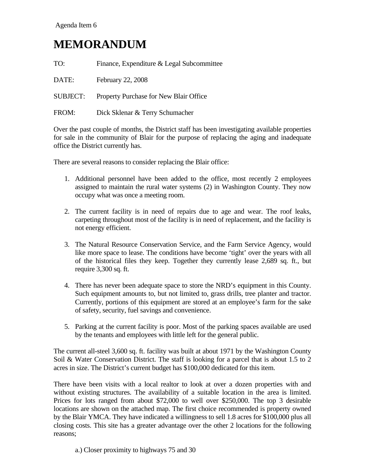## **MEMORANDUM**

| TO:             | Finance, Expenditure & Legal Subcommittee |
|-----------------|-------------------------------------------|
| DATE:           | February 22, 2008                         |
| <b>SUBJECT:</b> | Property Purchase for New Blair Office    |
| FROM:           | Dick Sklenar & Terry Schumacher           |

Over the past couple of months, the District staff has been investigating available properties for sale in the community of Blair for the purpose of replacing the aging and inadequate office the District currently has.

There are several reasons to consider replacing the Blair office:

- 1. Additional personnel have been added to the office, most recently 2 employees assigned to maintain the rural water systems (2) in Washington County. They now occupy what was once a meeting room.
- 2. The current facility is in need of repairs due to age and wear. The roof leaks, carpeting throughout most of the facility is in need of replacement, and the facility is not energy efficient.
- 3. The Natural Resource Conservation Service, and the Farm Service Agency, would like more space to lease. The conditions have become 'tight' over the years with all of the historical files they keep. Together they currently lease 2,689 sq. ft., but require 3,300 sq. ft.
- 4. There has never been adequate space to store the NRD's equipment in this County. Such equipment amounts to, but not limited to, grass drills, tree planter and tractor. Currently, portions of this equipment are stored at an employee's farm for the sake of safety, security, fuel savings and convenience.
- 5. Parking at the current facility is poor. Most of the parking spaces available are used by the tenants and employees with little left for the general public.

The current all-steel 3,600 sq. ft. facility was built at about 1971 by the Washington County Soil & Water Conservation District. The staff is looking for a parcel that is about 1.5 to 2 acres in size. The District's current budget has \$100,000 dedicated for this item.

There have been visits with a local realtor to look at over a dozen properties with and without existing structures. The availability of a suitable location in the area is limited. Prices for lots ranged from about \$72,000 to well over \$250,000. The top 3 desirable locations are shown on the attached map. The first choice recommended is property owned by the Blair YMCA. They have indicated a willingness to sell 1.8 acres for \$100,000 plus all closing costs. This site has a greater advantage over the other 2 locations for the following reasons;

a.) Closer proximity to highways 75 and 30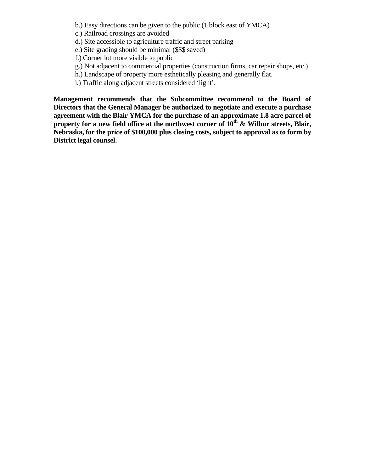- b.) Easy directions can be given to the public (1 block east of YMCA)
- c.) Railroad crossings are avoided
- d.) Site accessible to agriculture traffic and street parking
- e.) Site grading should be minimal (\$\$\$ saved)
- f.) Corner lot more visible to public
- g.) Not adjacent to commercial properties (construction firms, car repair shops, etc.)
- h.) Landscape of property more esthetically pleasing and generally flat.
- i.) Traffic along adjacent streets considered 'light'.

**Management recommends that the Subcommittee recommend to the Board of Directors that the General Manager be authorized to negotiate and execute a purchase agreement with the Blair YMCA for the purchase of an approximate 1.8 acre parcel of**  property for a new field office at the northwest corner of 10<sup>th</sup> & Wilbur streets, Blair, **Nebraska, for the price of \$100,000 plus closing costs, subject to approval as to form by District legal counsel.**